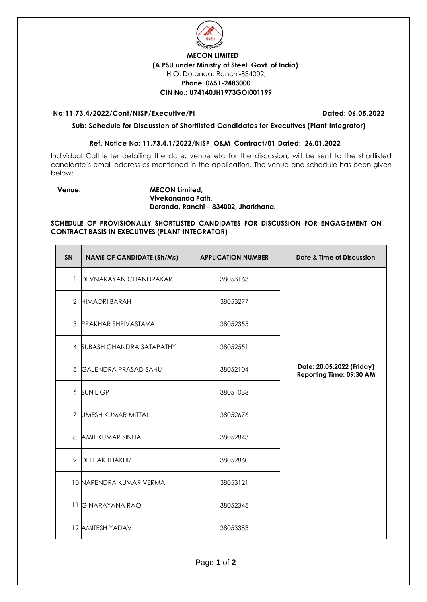

# **MECON LIMITED (A PSU under Ministry of Steel, Govt. of India)** H.O: Doranda, Ranchi-834002; **Phone: 0651-2483000 CIN No.: U74140JH1973GOI001199**

## **No:11.73.4/2022/Cont/NISP/Executive/PI Dated: 06.05.2022**

# **Sub: Schedule for Discussion of Shortlisted Candidates for Executives (Plant Integrator)**

# **Ref. Notice No: 11.73.4.1/2022/NISP\_O&M\_Contract/01 Dated: 26.01.2022**

Individual Call letter detailing the date, venue etc for the discussion, will be sent to the shortlisted candidate's email address as mentioned in the application. The venue and schedule has been given below:

## **Venue: MECON Limited, Vivekananda Path, Doranda, Ranchi – 834002, Jharkhand.**

### **SCHEDULE OF PROVISIONALLY SHORTLISTED CANDIDATES FOR DISCUSSION FOR ENGAGEMENT ON CONTRACT BASIS IN EXECUTIVES (PLANT INTEGRATOR)**

| <b>SN</b>      | <b>NAME OF CANDIDATE (Sh/Ms)</b> | <b>APPLICATION NUMBER</b> | Date & Time of Discussion                             |
|----------------|----------------------------------|---------------------------|-------------------------------------------------------|
| 1              | DEVNARAYAN CHANDRAKAR            | 38053163                  |                                                       |
| $\overline{2}$ | <b>HIMADRI BARAH</b>             | 38053277                  |                                                       |
| 3              | <b>PRAKHAR SHRIVASTAVA</b>       | 38052355                  |                                                       |
|                | 4 SUBASH CHANDRA SATAPATHY       | 38052551                  |                                                       |
| 5              | <b>GAJENDRA PRASAD SAHU</b>      | 38052104                  | Date: 20.05.2022 (Friday)<br>Reporting Time: 09:30 AM |
|                | 6 SUNIL GP                       | 38051038                  |                                                       |
| $\overline{7}$ | UMESH KUMAR MITTAL               | 38052676                  |                                                       |
| 8              | <b>AMIT KUMAR SINHA</b>          | 38052843                  |                                                       |
| 9              | <b>DEEPAK THAKUR</b>             | 38052860                  |                                                       |
|                | 10 NARENDRA KUMAR VERMA          | 38053121                  |                                                       |
|                | 11 G NARAYANA RAO                | 38052345                  |                                                       |
|                | 12 AMITESH YADAV                 | 38053383                  |                                                       |